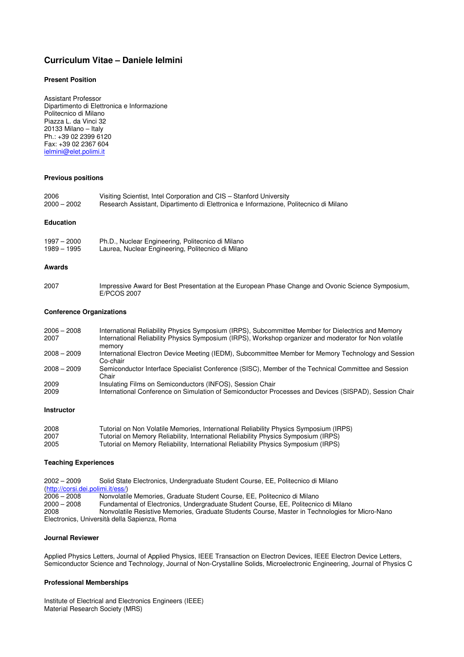# **Curriculum Vitae – Daniele Ielmini**

# **Present Position**

Assistant Professor Dipartimento di Elettronica e Informazione Politecnico di Milano Piazza L. da Vinci 32 20133 Milano – Italy Ph.: +39 02 2399 6120 Fax: +39 02 2367 604 ielmini@elet.polimi.it

# **Previous positions**

| 2006          | Visiting Scientist, Intel Corporation and CIS – Stanford University                   |
|---------------|---------------------------------------------------------------------------------------|
| $2000 - 2002$ | Research Assistant, Dipartimento di Elettronica e Informazione, Politecnico di Milano |

# **Education**

| $1997 - 2000$ | Ph.D., Nuclear Engineering, Politecnico di Milano  |
|---------------|----------------------------------------------------|
| 1989 - 1995   | Laurea, Nuclear Engineering, Politecnico di Milano |

## **Awards**

2007 Impressive Award for Best Presentation at the European Phase Change and Ovonic Science Symposium, E/PCOS 2007

# **Conference Organizations**

| $2006 - 2008$<br>2007 | International Reliability Physics Symposium (IRPS), Subcommittee Member for Dielectrics and Memory<br>International Reliability Physics Symposium (IRPS), Workshop organizer and moderator for Non volatile<br>memory |
|-----------------------|-----------------------------------------------------------------------------------------------------------------------------------------------------------------------------------------------------------------------|
| $2008 - 2009$         | International Electron Device Meeting (IEDM), Subcommittee Member for Memory Technology and Session<br>Co-chair                                                                                                       |
| $2008 - 2009$         | Semiconductor Interface Specialist Conference (SISC), Member of the Technical Committee and Session<br>Chair                                                                                                          |
| 2009                  | Insulating Films on Semiconductors (INFOS), Session Chair                                                                                                                                                             |
| 2009                  | International Conference on Simulation of Semiconductor Processes and Devices (SISPAD), Session Chair                                                                                                                 |

#### **Instructor**

| 2008 | Tutorial on Non Volatile Memories, International Reliability Physics Symposium (IRPS) |
|------|---------------------------------------------------------------------------------------|
| 2007 | Tutorial on Memory Reliability, International Reliability Physics Symposium (IRPS)    |
| 2005 | Tutorial on Memory Reliability, International Reliability Physics Symposium (IRPS)    |

# **Teaching Experiences**

2002 – 2009 Solid State Electronics, Undergraduate Student Course, EE, Politecnico di Milano (http://corsi.dei.polimi.it/ess/) 2006 – 2008 Nonvolatile Memories, Graduate Student Course, EE, Politecnico di Milano 2000 – 2008 Fundamental of Electronics, Undergraduate Student Course, EE, Politecnico di Milano 2008 Nonvolatile Resistive Memories, Graduate Students Course, Master in Technologies for Micro-Nano Electronics, Università della Sapienza, Roma

## **Journal Reviewer**

Applied Physics Letters, Journal of Applied Physics, IEEE Transaction on Electron Devices, IEEE Electron Device Letters, Semiconductor Science and Technology, Journal of Non-Crystalline Solids, Microelectronic Engineering, Journal of Physics C

## **Professional Memberships**

Institute of Electrical and Electronics Engineers (IEEE) Material Research Society (MRS)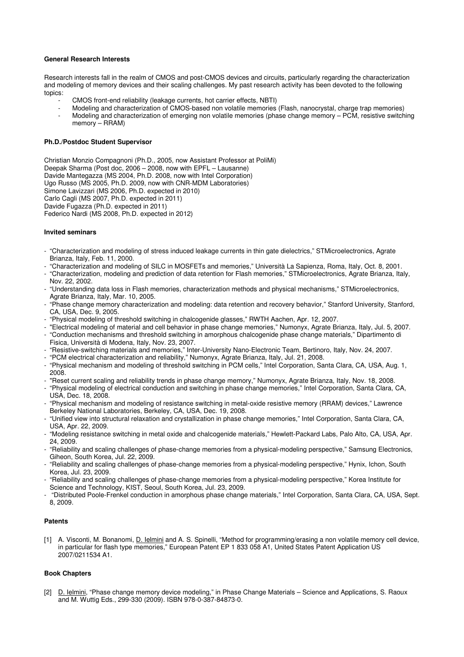# **General Research Interests**

Research interests fall in the realm of CMOS and post-CMOS devices and circuits, particularly regarding the characterization and modeling of memory devices and their scaling challenges. My past research activity has been devoted to the following topics:

- CMOS front-end reliability (leakage currents, hot carrier effects, NBTI)
- Modeling and characterization of CMOS-based non volatile memories (Flash, nanocrystal, charge trap memories)
- Modeling and characterization of emerging non volatile memories (phase change memory PCM, resistive switching memory – RRAM)

## **Ph.D./Postdoc Student Supervisor**

Christian Monzio Compagnoni (Ph.D., 2005, now Assistant Professor at PoliMi) Deepak Sharma (Post doc, 2006 – 2008, now with EPFL – Lausanne) Davide Mantegazza (MS 2004, Ph.D. 2008, now with Intel Corporation) Ugo Russo (MS 2005, Ph.D. 2009, now with CNR-MDM Laboratories) Simone Lavizzari (MS 2006, Ph.D. expected in 2010) Carlo Cagli (MS 2007, Ph.D. expected in 2011) Davide Fugazza (Ph.D. expected in 2011) Federico Nardi (MS 2008, Ph.D. expected in 2012)

## **Invited seminars**

- "Characterization and modeling of stress induced leakage currents in thin gate dielectrics," STMicroelectronics, Agrate Brianza, Italy, Feb. 11, 2000.
- "Characterization and modeling of SILC in MOSFETs and memories," Università La Sapienza, Roma, Italy, Oct. 8, 2001. - "Characterization, modeling and prediction of data retention for Flash memories," STMicroelectronics, Agrate Brianza, Italy, Nov. 22, 2002.
- "Understanding data loss in Flash memories, characterization methods and physical mechanisms," STMicroelectronics, Agrate Brianza, Italy, Mar. 10, 2005.
- "Phase change memory characterization and modeling: data retention and recovery behavior," Stanford University, Stanford, CA, USA, Dec. 9, 2005.
- "Physical modeling of threshold switching in chalcogenide glasses," RWTH Aachen, Apr. 12, 2007.
- "Electrical modeling of material and cell behavior in phase change memories," Numonyx, Agrate Brianza, Italy, Jul. 5, 2007.
- "Conduction mechanisms and threshold switching in amorphous chalcogenide phase change materials," Dipartimento di Fisica, Università di Modena, Italy, Nov. 23, 2007.
- "Resistive-switching materials and memories," Inter-University Nano-Electronic Team, Bertinoro, Italy, Nov. 24, 2007.
- "PCM electrical characterization and reliability," Numonyx, Agrate Brianza, Italy, Jul. 21, 2008.
- "Physical mechanism and modeling of threshold switching in PCM cells," Intel Corporation, Santa Clara, CA, USA, Aug. 1, 2008.
- "Reset current scaling and reliability trends in phase change memory," Numonyx, Agrate Brianza, Italy, Nov. 18, 2008. - "Physical modeling of electrical conduction and switching in phase change memories," Intel Corporation, Santa Clara, CA, USA, Dec. 18, 2008.
- "Physical mechanism and modeling of resistance switching in metal-oxide resistive memory (RRAM) devices," Lawrence Berkeley National Laboratories, Berkeley, CA, USA, Dec. 19, 2008.
- "Unified view into structural relaxation and crystallization in phase change memories," Intel Corporation, Santa Clara, CA, USA, Apr. 22, 2009.
- "Modeling resistance switching in metal oxide and chalcogenide materials," Hewlett-Packard Labs, Palo Alto, CA, USA, Apr. 24, 2009.
- "Reliability and scaling challenges of phase-change memories from a physical-modeling perspective," Samsung Electronics, Giheon, South Korea, Jul. 22, 2009.
- "Reliability and scaling challenges of phase-change memories from a physical-modeling perspective," Hynix, Ichon, South Korea, Jul. 23, 2009.
- "Reliability and scaling challenges of phase-change memories from a physical-modeling perspective," Korea Institute for Science and Technology, KIST, Seoul, South Korea, Jul. 23, 2009.
- "Distributed Poole-Frenkel conduction in amorphous phase change materials," Intel Corporation, Santa Clara, CA, USA, Sept. 8, 2009.

## **Patents**

[1] A. Visconti, M. Bonanomi, D. Ielmini and A. S. Spinelli, "Method for programming/erasing a non volatile memory cell device, in particular for flash type memories," European Patent EP 1 833 058 A1, United States Patent Application US 2007/0211534 A1.

# **Book Chapters**

[2] D. Ielmini, "Phase change memory device modeling," in Phase Change Materials - Science and Applications, S. Raoux and M. Wuttig Eds., 299-330 (2009). ISBN 978-0-387-84873-0.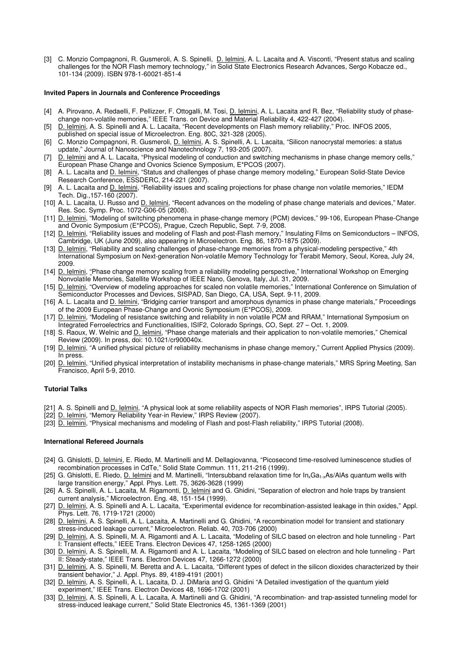[3] C. Monzio Compagnoni, R. Gusmeroli, A. S. Spinelli, D. Ielmini, A. L. Lacaita and A. Visconti, "Present status and scaling challenges for the NOR Flash memory technology," in Solid State Electronics Research Advances, Sergo Kobacze ed., 101-134 (2009). ISBN 978-1-60021-851-4

## **Invited Papers in Journals and Conference Proceedings**

- [4] A. Pirovano, A. Redaelli, F. Pellizzer, F. Ottogalli, M. Tosi, D. lelmini, A. L. Lacaita and R. Bez, "Reliability study of phasechange non-volatile memories," IEEE Trans. on Device and Material Reliability 4, 422-427 (2004).
- [5] D. Ielmini, A. S. Spinelli and A. L. Lacaita, "Recent developments on Flash memory reliability," Proc. INFOS 2005, published on special issue of Microelectron. Eng. 80C, 321-328 (2005).
- [6] C. Monzio Compagnoni, R. Gusmeroli, <u>D. Ielmini,</u> A. S. Spinelli, A. L. Lacaita, "Silicon nanocrystal memories: a status update," Journal of Nanoscience and Nanotechnology 7, 193-205 (2007).
- [7] D. Ielmini and A. L. Lacaita, "Physical modeling of conduction and switching mechanisms in phase change memory cells," European Phase Change and Ovonics Science Symposium, E\*PCOS (2007).
- [8] A. L. Lacaita and D. Ielmini, "Status and challenges of phase change memory modeling," European Solid-State Device Research Conference, ESSDERC, 214-221 (2007).
- [9] A. L. Lacaita and D. Ielmini, "Reliability issues and scaling projections for phase change non volatile memories," IEDM Tech. Dig.,157-160 (2007).
- [10] A. L. Lacaita, U. Russo and D. Ielmini, "Recent advances on the modeling of phase change materials and devices," Mater. Res. Soc. Symp. Proc. 1072-G06-05 (2008).
- [11] D. Ielmini, "Modeling of switching phenomena in phase-change memory (PCM) devices," 99-106, European Phase-Change and Ovonic Symposium (E\*PCOS), Prague, Czech Republic, Sept. 7-9, 2008.
- [12] D. Ielmini, "Reliability issues and modeling of Flash and post-Flash memory," Insulating Films on Semiconductors INFOS, Cambridge, UK (June 2009), also appearing in Microelectron. Eng. 86, 1870-1875 (2009).
- [13] D. Ielmini, "Reliability and scaling challenges of phase-change memories from a physical-modeling perspective," 4th International Symposium on Next-generation Non-volatile Memory Technology for Terabit Memory, Seoul, Korea, July 24, 2009.
- [14] D. Ielmini, "Phase change memory scaling from a reliability modeling perspective," International Workshop on Emerging Nonvolatile Memories, Satellite Workshop of IEEE Nano, Genova, Italy, Jul. 31, 2009.
- [15] D. Ielmini, "Overview of modeling approaches for scaled non volatile memories," International Conference on Simulation of Semiconductor Processes and Devices, SISPAD, San Diego, CA, USA, Sept. 9-11, 2009.
- [16] A. L. Lacaita and D. Ielmini, "Bridging carrier transport and amorphous dynamics in phase change materials," Proceedings of the 2009 European Phase-Change and Ovonic Symposium (E\*PCOS), 2009.
- [17] D. Ielmini, "Modeling of resistance switching and reliability in non volatile PCM and RRAM," International Symposium on Integrated Ferroelectrics and Functionalities, ISIF2, Colorado Springs, CO, Sept. 27 – Oct. 1, 2009.
- [18] S. Raoux, W. Welnic and D. Ielmini, "Phase change materials and their application to non-volatile memories," Chemical Review (2009). In press, doi: 10.1021/cr900040x.
- [19] D. Ielmini, "A unified physical picture of reliability mechanisms in phase change memory," Current Applied Physics (2009). In press.
- [20] D. Ielmini, "Unified physical interpretation of instability mechanisms in phase-change materials," MRS Spring Meeting, San Francisco, April 5-9, 2010.

# **Tutorial Talks**

- [21] A. S. Spinelli and D. Ielmini, "A physical look at some reliability aspects of NOR Flash memories", IRPS Tutorial (2005).
- [22] D. Ielmini, "Memory Reliability Year-in Review," IRPS Review (2007).
- [23] D. Ielmini, "Physical mechanisms and modeling of Flash and post-Flash reliability," IRPS Tutorial (2008).

## **International Refereed Journals**

- [24] G. Ghislotti, D. Ielmini, E. Riedo, M. Martinelli and M. Dellagiovanna, "Picosecond time-resolved luminescence studies of recombination processes in CdTe," Solid State Commun. 111, 211-216 (1999).
- [25] G. Ghislotti, E. Riedo, D. Ielmini and M. Martinelli, "Intersubband relaxation time for  $\ln_kGa_{1-x}As/AlAs$  quantum wells with large transition energy," Appl. Phys. Lett. 75, 3626-3628 (1999)
- [26] A. S. Spinelli, A. L. Lacaita, M. Rigamonti, D. Ielmini and G. Ghidini, "Separation of electron and hole traps by transient current analysis," Microelectron. Eng. 48, 151-154 (1999).
- [27] D. Ielmini, A. S. Spinelli and A. L. Lacaita, "Experimental evidence for recombination-assisted leakage in thin oxides," Appl. Phys. Lett. 76, 1719-1721 (2000)
- [28] D. Ielmini, A. S. Spinelli, A. L. Lacaita, A. Martinelli and G. Ghidini, "A recombination model for transient and stationary stress-induced leakage current," Microelectron. Reliab. 40, 703-706 (2000)
- [29] D. Ielmini, A. S. Spinelli, M. A. Rigamonti and A. L. Lacaita, "Modeling of SILC based on electron and hole tunneling Part I: Transient effects," IEEE Trans. Electron Devices 47, 1258-1265 (2000)
- [30] D. Ielmini, A. S. Spinelli, M. A. Rigamonti and A. L. Lacaita, "Modeling of SILC based on electron and hole tunneling Part II: Steady-state," IEEE Trans. Electron Devices 47, 1266-1272 (2000)
- [31] D. Ielmini, A. S. Spinelli, M. Beretta and A. L. Lacaita, "Different types of defect in the silicon dioxides characterized by their transient behavior," J. Appl. Phys. 89, 4189-4191 (2001)
- [32] D. Ielmini, A. S. Spinelli, A. L. Lacaita, D. J. DiMaria and G. Ghidini "A Detailed investigation of the quantum yield experiment," IEEE Trans. Electron Devices 48, 1696-1702 (2001)
- [33] D. Ielmini, A. S. Spinelli, A. L. Lacaita, A. Martinelli and G. Ghidini, "A recombination- and trap-assisted tunneling model for stress-induced leakage current," Solid State Electronics 45, 1361-1369 (2001)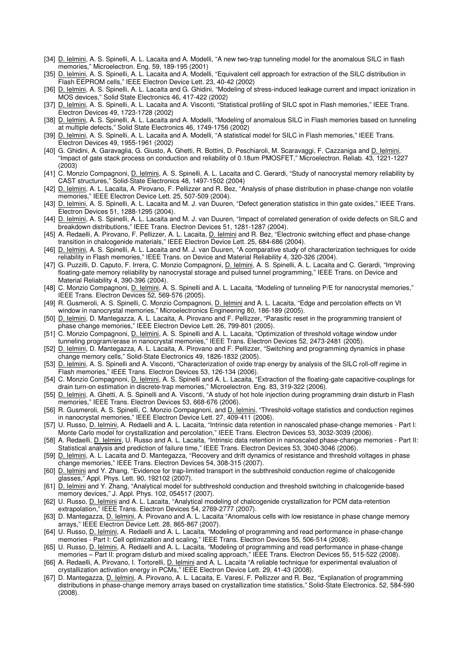- [34] D. Ielmini, A. S. Spinelli, A. L. Lacaita and A. Modelli, "A new two-trap tunneling model for the anomalous SILC in flash memories," Microelectron. Eng. 59, 189-195 (2001)
- [35] D. Ielmini, A. S. Spinelli, A. L. Lacaita and A. Modelli, "Equivalent cell approach for extraction of the SILC distribution in Flash EEPROM cells," IEEE Electron Device Lett. 23, 40-42 (2002)
- [36] D. Ielmini, A. S. Spinelli, A. L. Lacaita and G. Ghidini, "Modeling of stress-induced leakage current and impact ionization in MOS devices," Solid State Electronics 46, 417-422 (2002)
- [37] D. Ielmini, A. S. Spinelli, A. L. Lacaita and A. Visconti, "Statistical profiling of SILC spot in Flash memories," IEEE Trans. Electron Devices 49, 1723-1728 (2002)
- [38] D. Ielmini, A. S. Spinelli, A. L. Lacaita and A. Modelli, "Modeling of anomalous SILC in Flash memories based on tunneling at multiple defects," Solid State Electronics 46, 1749-1756 (2002)
- [39] D. Ielmini, A. S. Spinelli, A. L. Lacaita and A. Modelli, "A statistical model for SILC in Flash memories," IEEE Trans. Electron Devices 49, 1955-1961 (2002)
- [40] G. Ghidini, A. Garavaglia, G. Giusto, A. Ghetti, R. Bottini, D. Peschiaroli, M. Scaravaggi, F. Cazzaniga and D. Ielmini, "Impact of gate stack process on conduction and reliability of 0.18um PMOSFET," Microelectron. Reliab. 43, 1221-1227 (2003)
- [41] C. Monzio Compagnoni, D. Ielmini, A. S. Spinelli, A. L. Lacaita and C. Gerardi, "Study of nanocrystal memory reliability by CAST structures," Solid-State Electronics 48, 1497-1502 (2004)
- [42] D. Ielmini, A. L. Lacaita, A. Pirovano, F. Pellizzer and R. Bez, "Analysis of phase distribution in phase-change non volatile memories," IEEE Electron Device Lett. 25, 507-509 (2004).
- [43] D. Ielmini, A. S. Spinelli, A. L. Lacaita and M. J. van Duuren, "Defect generation statistics in thin gate oxides," IEEE Trans. Electron Devices 51, 1288-1295 (2004).
- [44] D. Ielmini, A. S. Spinelli, A. L. Lacaita and M. J. van Duuren, "Impact of correlated generation of oxide defects on SILC and breakdown distributions," IEEE Trans. Electron Devices 51, 1281-1287 (2004).
- [45] A. Redaelli, A. Pirovano, F. Pellizzer, A. L. Lacaita, D. Ielmini and R. Bez, "Electronic switching effect and phase-change transition in chalcogenide materials," IEEE Electron Device Lett. 25, 684-686 (2004).
- [46] D. Ielmini, A. S. Spinelli, A. L. Lacaita and M. J. van Duuren, "A comparative study of characterization techniques for oxide reliability in Flash memories," IEEE Trans. on Device and Material Reliability 4, 320-326 (2004).
- [47] G. Puzzilli, D. Caputo, F. Irrera, C. Monzio Compagnoni, D. Ielmini, A. S. Spinelli, A. L. Lacaita and C. Gerardi, "Improving floating-gate memory reliability by nanocrystal storage and pulsed tunnel programming," IEEE Trans. on Device and Material Reliability 4, 390-396 (2004).
- [48] C. Monzio Compagnoni, *D. Ielmini, A. S. Spinelli and A. L. Lacaita, "Modeling of tunneling P/E for nanocrystal memories,"* IEEE Trans. Electron Devices 52, 569-576 (2005).
- [49] R. Gusmeroli, A. S. Spinelli, C. Monzio Compagnoni, D. lelmini and A. L. Lacaita, "Edge and percolation effects on Vt window in nanocrystal memories," Microelectronics Engineering 80, 186-189 (2005).
- [50] D. Ielmini, D. Mantegazza, A. L. Lacaita, A. Pirovano and F. Pellizzer, "Parasitic reset in the programming transient of phase change memories," IEEE Electron Device Lett. 26, 799-801 (2005).
- [51] C. Monzio Compagnoni, *D. Ielmini*, A. S. Spinelli and A. L. Lacaita, "Optimization of threshold voltage window under tunneling program/erase in nanocrystal memories," IEEE Trans. Electron Devices 52, 2473-2481 (2005).
- [52] D. Ielmini, D. Mantegazza, A. L. Lacaita, A. Pirovano and F. Pellizzer, "Switching and programming dynamics in phase change memory cells," Solid-State Electronics 49, 1826-1832 (2005).
- [53] D. Ielmini, A. S. Spinelli and A. Visconti, "Characterization of oxide trap energy by analysis of the SILC roll-off regime in Flash memories," IEEE Trans. Electron Devices 53, 126-134 (2006).
- [54] C. Monzio Compagnoni, D. Ielmini, A. S. Spinelli and A. L. Lacaita, "Extraction of the floating-gate capacitive-couplings for drain turn-on estimation in discrete-trap memories," Microelectron. Eng. 83, 319-322 (2006).
- [55] <u>D. Ielmini</u>, A. Ghetti, A. S. Spinelli and A. Visconti, "A study of hot hole injection during programming drain disturb in Flash memories," IEEE Trans. Electron Devices 53, 668-676 (2006).
- [56] R. Gusmeroli, A. S. Spinelli, C. Monzio Compagnoni, and D. Ielmini, "Threshold-voltage statistics and conduction regimes in nanocrystal memories," IEEE Electron Device Lett. 27, 409-411 (2006).
- [57] U. Russo, D. Ielmini, A. Redaelli and A. L. Lacaita, "Intrinsic data retention in nanoscaled phase-change memories Part I: Monte Carlo model for crystallization and percolation," IEEE Trans. Electron Devices 53, 3032-3039 (2006).
- [58] A. Redaelli, D. Ielmini, U. Russo and A. L. Lacaita, "Intrinsic data retention in nanoscaled phase-change memories Part II: Statistical analysis and prediction of failure time," IEEE Trans. Electron Devices 53, 3040-3046 (2006).
- [59] D. Ielmini, A. L. Lacaita and D. Mantegazza, "Recovery and drift dynamics of resistance and threshold voltages in phase change memories," IEEE Trans. Electron Devices 54, 308-315 (2007).
- [60] D. Ielmini and Y. Zhang, "Evidence for trap-limited transport in the subthreshold conduction regime of chalcogenide glasses," Appl. Phys. Lett. 90, 192102 (2007).
- [61] D. Ielmini and Y. Zhang, "Analytical model for subthreshold conduction and threshold switching in chalcogenide-based memory devices," J. Appl. Phys. 102, 054517 (2007).
- [62] U. Russo, D. Ielmini and A. L. Lacaita, "Analytical modeling of chalcogenide crystallization for PCM data-retention extrapolation," IEEE Trans. Electron Devices 54, 2769-2777 (2007).
- [63] D. Mantegazza, D. Ielmini, A. Pirovano and A. L. Lacaita "Anomalous cells with low resistance in phase change memory arrays," IEEE Electron Device Lett. 28, 865-867 (2007).
- [64] U. Russo, D. Ielmini, A. Redaelli and A. L. Lacaita, "Modeling of programming and read performance in phase-change memories - Part I: Cell optimization and scaling," IEEE Trans. Electron Devices 55, 506-514 (2008).
- [65] U. Russo, D. Ielmini, A. Redaelli and A. L. Lacaita, "Modeling of programming and read performance in phase-change memories – Part II: program disturb and mixed scaling approach," IEEE Trans. Electron Devices 55, 515-522 (2008).
- [66] A. Redaelli, A. Pirovano, I. Tortorelli, D. Ielmini and A. L. Lacaita "A reliable technique for experimental evaluation of crystallization activation energy in PCMs," IEEE Electron Device Lett. 29, 41-43 (2008).
- D. Mantegazza, D. Ielmini, A. Pirovano, A. L. Lacaita, E. Varesi, F. Pellizzer and R. Bez, "Explanation of programming distributions in phase-change memory arrays based on crystallization time statistics," Solid-State Electronics. 52, 584-590 (2008).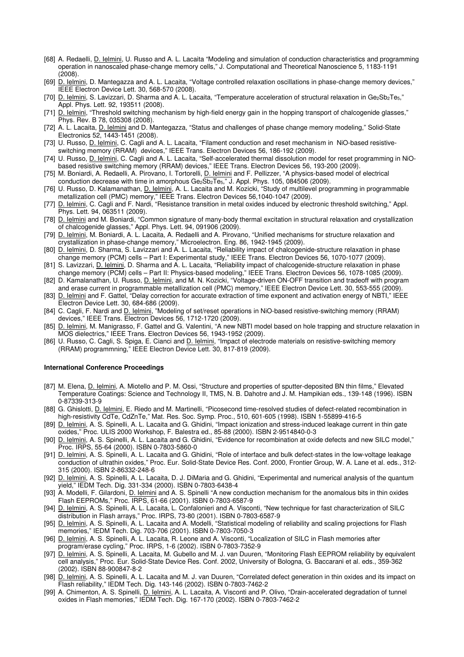- [68] A. Redaelli, D. Ielmini, U. Russo and A. L. Lacaita "Modeling and simulation of conduction characteristics and programming operation in nanoscaled phase-change memory cells," J. Computational and Theoretical Nanoscience 5, 1183-1191  $(2008)$
- [69] D. Ielmini, D. Mantegazza and A. L. Lacaita, "Voltage controlled relaxation oscillations in phase-change memory devices," IEEE Electron Device Lett. 30, 568-570 (2008).
- [70] D. Ielmini, S. Lavizzari, D. Sharma and A. L. Lacaita, "Temperature acceleration of structural relaxation in Ge<sub>2</sub>Sb<sub>2</sub>Te<sub>5</sub>," Appl. Phys. Lett. 92, 193511 (2008).
- [71] D. Ielmini, "Threshold switching mechanism by high-field energy gain in the hopping transport of chalcogenide glasses," Phys. Rev. B 78, 035308 (2008).
- [72] A. L. Lacaita, D. Ielmini and D. Mantegazza, "Status and challenges of phase change memory modeling," Solid-State Electronics 52, 1443-1451 (2008).
- [73] U. Russo, D. Ielmini, C. Cagli and A. L. Lacaita, "Filament conduction and reset mechanism in NiO-based resistiveswitching memory (RRAM) devices," IEEE Trans. Electron Devices 56, 186-192 (2009).
- [74] U. Russo, D. Ielmini, C. Cagli and A. L. Lacaita, "Self-accelerated thermal dissolution model for reset programming in NiObased resistive switching memory (RRAM) devices," IEEE Trans. Electron Devices 56, 193-200 (2009).
- [75] M. Boniardi, A. Redaelli, A. Pirovano, I. Tortorelli, D. lelmini and F. Pellizzer, "A physics-based model of electrical conduction decrease with time in amorphous Ge<sub>2</sub>Sb<sub>2</sub>Te<sub>5</sub>," J. Appl. Phys. 105, 084506 (2009).
- [76] U. Russo, D. Kalamanathan, D. Ielmini, A. L. Lacaita and M. Kozicki, "Study of multilevel programming in programmable metallization cell (PMC) memory," IEEE Trans. Electron Devices 56,1040-1047 (2009).
- [77] D. Ielmini, C. Cagli and F. Nardi, "Resistance transition in metal oxides induced by electronic threshold switching," Appl. Phys. Lett. 94, 063511 (2009).
- [78] D. Ielmini and M. Boniardi, "Common signature of many-body thermal excitation in structural relaxation and crystallization of chalcogenide glasses," Appl. Phys. Lett. 94, 091906 (2009).
- [79] D. Ielmini, M. Boniardi, A. L. Lacaita, A. Redaelli and A. Pirovano, "Unified mechanisms for structure relaxation and crystallization in phase-change memory," Microelectron. Eng. 86, 1942-1945 (2009).
- [80] D. Ielmini, D. Sharma, S. Lavizzari and A. L. Lacaita, "Reliability impact of chalcogenide-structure relaxation in phase change memory (PCM) cells – Part I: Experimental study," IEEE Trans. Electron Devices 56, 1070-1077 (2009).
- [81] S. Lavizzari, D. Ielmini, D. Sharma and A. L. Lacaita, "Reliability impact of chalcogenide-structure relaxation in phase change memory (PCM) cells – Part II: Physics-based modeling," IEEE Trans. Electron Devices 56, 1078-1085 (2009).
- [82] D. Kamalanathan, U. Russo, D. Ielmini, and M. N. Kozicki, "Voltage-driven ON-OFF transition and tradeoff with program and erase current in programmable metallization cell (PMC) memory," IEEE Electron Device Lett. 30, 553-555 (2009).
- [83] D. Ielmini and F. Gattel, "Delay correction for accurate extraction of time exponent and activation energy of NBTI," IEEE Electron Device Lett. 30, 684-686 (2009).
- [84] C. Cagli, F. Nardi and D. Ielmini, "Modeling of set/reset operations in NiO-based resistive-switching memory (RRAM) devices," IEEE Trans. Electron Devices 56, 1712-1720 (2009).
- [85] D. Ielmini, M. Manigrasso, F. Gattel and G. Valentini, "A new NBTI model based on hole trapping and structure relaxation in MOS dielectrics," IEEE Trans. Electron Devices 56, 1943-1952 (2009).
- [86] U. Russo, C. Cagli, S. Spiga, E. Cianci and D. Ielmini, "Impact of electrode materials on resistive-switching memory (RRAM) programmning," IEEE Electron Device Lett. 30, 817-819 (2009).

## **International Conference Proceedings**

- [87] M. Elena, D. Ielmini, A. Miotello and P. M. Ossi, "Structure and properties of sputter-deposited BN thin films," Elevated Temperature Coatings: Science and Technology II, TMS, N. B. Dahotre and J. M. Hampikian eds., 139-148 (1996). ISBN 0-87339-313-9
- [88] G. Ghislotti, *D. Ielmini*, E. Riedo and M. Martinelli, "Picosecond time-resolved studies of defect-related recombination in high-resistivity CdTe, CdZnTe," Mat. Res. Soc. Symp. Proc., 510, 601-605 (1998). ISBN 1-55899-416-5
- [89] D. Ielmini, A. S. Spinelli, A. L. Lacaita and G. Ghidini, "Impact ionization and stress-induced leakage current in thin gate oxides," Proc. ULIS 2000 Workshop, F. Balestra ed., 85-88 (2000). ISBN 2-9514840-0-3
- [90] D. Ielmini, A. S. Spinelli, A. L. Lacaita and G. Ghidini, "Evidence for recombination at oxide defects and new SILC model," Proc. IRPS, 55-64 (2000). ISBN 0-7803-5860-0
- [91] D. Ielmini, A. S. Spinelli, A. L. Lacaita and G. Ghidini, "Role of interface and bulk defect-states in the low-voltage leakage conduction of ultrathin oxides," Proc. Eur. Solid-State Device Res. Conf. 2000, Frontier Group, W. A. Lane et al. eds., 312- 315 (2000). ISBN 2-86332-248-6
- [92] D. Ielmini, A. S. Spinelli, A. L. Lacaita, D. J. DiMaria and G. Ghidini, "Experimental and numerical analysis of the quantum yield," IEDM Tech. Dig. 331-334 (2000). ISBN 0-7803-6438-4
- [93] A. Modelli, F. Gilardoni, D. Ielmini and A. S. Spinelli "A new conduction mechanism for the anomalous bits in thin oxides Flash EEPROMs," Proc. IRPS, 61-66 (2001). ISBN 0-7803-6587-9
- [94] D. Ielmini, A. S. Spinelli, A. L. Lacaita, L. Confalonieri and A. Visconti, "New technique for fast characterization of SILC distribution in Flash arrays," Proc. IRPS, 73-80 (2001). ISBN 0-7803-6587-9
- [95] D. Ielmini, A. S. Spinelli, A. L. Lacaita and A. Modelli, "Statistical modeling of reliability and scaling projections for Flash memories," IEDM Tech. Dig. 703-706 (2001). ISBN 0-7803-7050-3
- [96] D. Ielmini, A. S. Spinelli, A. L. Lacaita, R. Leone and A. Visconti, "Localization of SILC in Flash memories after program/erase cycling," Proc. IRPS, 1-6 (2002). ISBN 0-7803-7352-9
- [97] D. Ielmini, A. S. Spinelli, A. Lacaita, M. Gubello and M. J. van Duuren, "Monitoring Flash EEPROM reliability by equivalent cell analysis," Proc. Eur. Solid-State Device Res. Conf. 2002, University of Bologna, G. Baccarani et al. eds., 359-362 (2002). ISBN 88-900847-8-2
- [98] D. Ielmini, A. S. Spinelli, A. L. Lacaita and M. J. van Duuren, "Correlated defect generation in thin oxides and its impact on Flash reliability," IEDM Tech. Dig. 143-146 (2002). ISBN 0-7803-7462-2
- [99] A. Chimenton, A. S. Spinelli, D. Ielmini, A. L. Lacaita, A. Visconti and P. Olivo, "Drain-accelerated degradation of tunnel oxides in Flash memories," IEDM Tech. Dig. 167-170 (2002). ISBN 0-7803-7462-2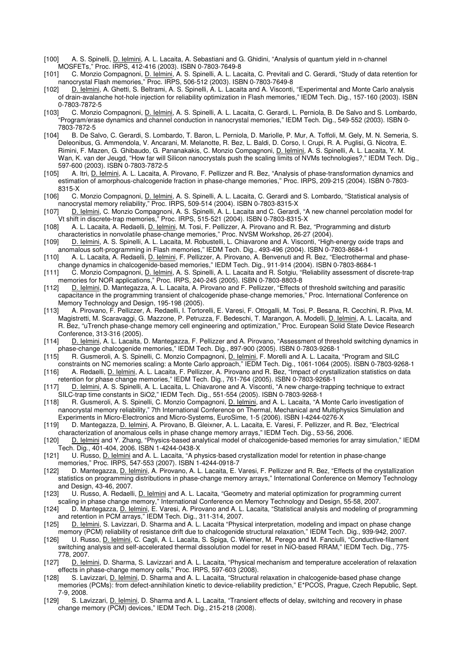- [100] A. S. Spinelli, D. Ielmini, A. L. Lacaita, A. Sebastiani and G. Ghidini, "Analysis of quantum yield in n-channel MOSFETs," Proc. IRPS, 412-416 (2003). ISBN 0-7803-7649-8
- [101] C. Monzio Compagnoni, D. Ielmini, A. S. Spinelli, A. L. Lacaita, C. Previtali and C. Gerardi, "Study of data retention for nanocrystal Flash memories," Proc. IRPS, 506-512 (2003). ISBN 0-7803-7649-8
- [102] D. Ielmini, A. Ghetti, S. Beltrami, A. S. Spinelli, A. L. Lacaita and A. Visconti, "Experimental and Monte Carlo analysis of drain-avalanche hot-hole injection for reliability optimization in Flash memories," IEDM Tech. Dig., 157-160 (2003). ISBN 0-7803-7872-5
- [103] C. Monzio Compagnoni, D. Ielmini, A. S. Spinelli, A. L. Lacaita, C. Gerardi, L. Perniola, B. De Salvo and S. Lombardo, "Program/erase dynamics and channel conduction in nanocrystal memories," IEDM Tech. Dig., 549-552 (2003). ISBN 0- 7803-7872-5
- [104] B. De Salvo, C. Gerardi, S. Lombardo, T. Baron, L. Perniola, D. Mariolle, P. Mur, A. Toffoli, M. Gely, M. N. Semeria, S. Deleonibus, G. Ammendola, V. Ancarani, M. Melanotte, R. Bez, L. Baldi, D. Corso, I. Crupi, R. A. Puglisi, G. Nicotra, E. Rimini, F. Mazen, G. Ghibaudo, G. Pananakakis, C. Monzio Compagnoni, D. Ielmini, A. S. Spinelli, A. L. Lacaita, Y. M. Wan, K. van der Jeugd, "How far will Silicon nanocrystals push the scaling limits of NVMs technologies?," IEDM Tech. Dig., 597-600 (2003). ISBN 0-7803-7872-5<br>11051 - A. Itri. D. Ielmini, A. L. Lacaita, A.
- [105] A. Itri, D. Ielmini, A. L. Lacaita, A. Pirovano, F. Pellizzer and R. Bez, "Analysis of phase-transformation dynamics and estimation of amorphous-chalcogenide fraction in phase-change memories," Proc. IRPS, 209-215 (2004). ISBN 0-7803- 8315-X
- [106] C. Monzio Compagnoni, D. Ielmini, A. S. Spinelli, A. L. Lacaita, C. Gerardi and S. Lombardo, "Statistical analysis of nanocrystal memory reliability," Proc. IRPS, 509-514 (2004). ISBN 0-7803-8315-X
- [107] D. Ielmini, C. Monzio Compagnoni, A. S. Spinelli, A. L. Lacaita and C. Gerardi, "A new channel percolation model for Vt shift in discrete-trap memories," Proc. IRPS, 515-521 (2004). ISBN 0-7803-8315-X
- [108] A. L. Lacaita, A. Redaelli, D. Ielmini, M. Tosi, F. Pellizzer, A. Pirovano and R. Bez, "Programming and disturb characteristics in nonvolatile phase-change memories," Proc. NVSM Workshop, 26-27 (2004).
- [109] D. Ielmini, A. S. Spinelli, A. L. Lacaita, M. Robustelli, L. Chiavarone and A. Visconti, "High-energy oxide traps and anomalous soft-programming in Flash memories," IEDM Tech. Dig., 493-496 (2004). ISBN 0-7803-8684-1
- [110] A. L. Lacaita, A. Redaelli, D. Ielmini, F. Pellizzer, A. Pirovano, A. Benvenuti and R. Bez, "Electrothermal and phasechange dynamics in chalcogenide-based memories," IEDM Tech. Dig., 911-914 (2004). ISBN 0-7803-8684-1
- [111] C. Monzio Compagnoni, D. Ielmini, A. S. Spinelli, A. L. Lacaita and R. Sotgiu, "Reliability assessment of discrete-trap memories for NOR applications," Proc. IRPS, 240-245 (2005). ISBN 0-7803-8803-8
- [112] D. Ielmini, D. Mantegazza, A. L. Lacaita, A. Pirovano and F. Pellizzer, "Effects of threshold switching and parasitic capacitance in the programming transient of chalcogenide phase-change memories," Proc. International Conference on Memory Technology and Design, 195-198 (2005).
- [113] A. Pirovano, F. Pellizzer, A. Redaelli, I. Tortorelli, E. Varesi, F. Ottogalli, M. Tosi, P. Besana, R. Cecchini, R. Piva, M. Magistretti, M. Scaravaggi, G. Mazzone, P. Petruzza, F. Bedeschi, T. Marangon, A. Modelli, D. Ielmini, A. L. Lacaita, and R. Bez, "uTrench phase-change memory cell engineering and optimization," Proc. European Solid State Device Research Conference, 313-316 (2005).
- [114] D. Ielmini, A. L. Lacaita, D. Mantegazza, F. Pellizzer and A. Pirovano, "Assessment of threshold switching dynamics in phase-change chalcogenide memories," IEDM Tech. Dig., 897-900 (2005). ISBN 0-7803-9268-1
- [115] R. Gusmeroli, A. S. Spinelli, C. Monzio Compagnoni, D. Ielmini, F. Morelli and A. L. Lacaita, "Program and SILC constraints on NC memories scaling: a Monte Carlo approach," IEDM Tech. Dig., 1061-1064 (2005). ISBN 0-7803-9268-1
- [116] A. Redaelli, D. Ielmini, A. L. Lacaita, F. Pellizzer, A. Pirovano and R. Bez, "Impact of crystallization statistics on data retention for phase change memories," IEDM Tech. Dig., 761-764 (2005). ISBN 0-7803-9268-1
- [117] D. Ielmini, A. S. Spinelli, A. L. Lacaita, L. Chiavarone and A. Visconti, "A new charge-trapping technique to extract SILC-trap time constants in SiO2," IEDM Tech. Dig., 551-554 (2005). ISBN 0-7803-9268-1
- [118] R. Gusmeroli, A. S. Spinelli, C. Monzio Compagnoni, D. Ielmini, and A. L. Lacaita, "A Monte Carlo investigation of nanocrystal memory reliability," 7th International Conference on Thermal, Mechanical and Multiphysics Simulation and Experiments in Micro-Electronics and Micro-Systems, EuroSime, 1-5 (2006). ISBN I-4244-0276-X
- [119] D. Mantegazza, <u>D. Ielmini,</u> A. Pirovano, B. Gleixner, A. L. Lacaita, E. Varesi, F. Pellizzer, and R. Bez, "Electrical characterization of anomalous cells in phase change memory arrays," IEDM Tech. Dig., 53-56, 2006.
- [120] D. Ielmini and Y. Zhang, "Physics-based analytical model of chalcogenide-based memories for array simulation," IEDM Tech. Dig., 401-404, 2006. ISBN 1-4244-0438-X
- [121] U. Russo, *D. Ielmini* and A. L. Lacaita, "A physics-based crystallization model for retention in phase-change memories," Proc. IRPS, 547-553 (2007). ISBN 1-4244-0918-7
- [122] D. Mantegazza, D. Ielmini, A. Pirovano, A. L. Lacaita, E. Varesi, F. Pellizzer and R. Bez, "Effects of the crystallization statistics on programming distributions in phase-change memory arrays," International Conference on Memory Technology and Design, 43-46, 2007.
- [123] U. Russo, A. Redaelli, D. Ielmini and A. L. Lacaita, "Geometry and material optimization for programming current scaling in phase change memory," International Conference on Memory Technology and Design, 55-58, 2007.<br>[124] D. Mantegazza, <u>D. Ielmini,</u> E. Varesi, A. Pirovano and A. L. Lacaita, "Statistical analysis and modeling of r
- D. Mantegazza, D. Ielmini, E. Varesi, A. Pirovano and A. L. Lacaita, "Statistical analysis and modeling of programming and retention in PCM arrays," IEDM Tech. Dig., 311-314, 2007.
- [125] D. Ielmini, S. Lavizzari, D. Sharma and A. L. Lacaita "Physical interpretation, modeling and impact on phase change memory (PCM) reliability of resistance drift due to chalcogenide structural relaxation," IEDM Tech. Dig., 939-942, 2007.
- [126] U. Russo, D. Ielmini, C. Cagli, A. L. Lacaita, S. Spiga, C. Wiemer, M. Perego and M. Fanciulli, "Conductive-filament switching analysis and self-accelerated thermal dissolution model for reset in NiO-based RRAM," IEDM Tech. Dig., 775- 778, 2007.
- [127] D. Ielmini, D. Sharma, S. Lavizzari and A. L. Lacaita, "Physical mechanism and temperature acceleration of relaxation effects in phase-change memory cells," Proc. IRPS, 597-603 (2008).
- [128] S. Lavizzari, D. Ielmini, D. Sharma and A. L. Lacaita, "Structural relaxation in chalcogenide-based phase change memories (PCMs): from defect-annihilation kinetic to device-reliability prediction," E\*PCOS, Prague, Czech Republic, Sept. 7-9, 2008.<br>S. La
- S. Lavizzari, D. Ielmini, D. Sharma and A. L. Lacaita, "Transient effects of delay, switching and recovery in phase change memory (PCM) devices," IEDM Tech. Dig., 215-218 (2008).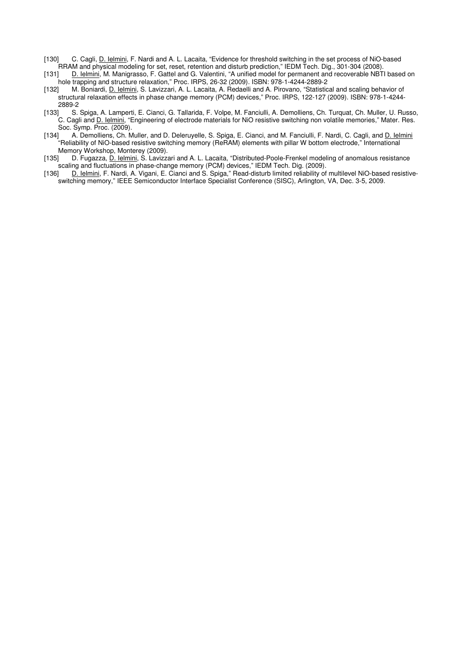- [130] C. Cagli, D. Ielmini, F. Nardi and A. L. Lacaita, "Evidence for threshold switching in the set process of NiO-based RRAM and physical modeling for set, reset, retention and disturb prediction," IEDM Tech. Dig., 301-304 (2008).
- [131] D. Ielmini, M. Manigrasso, F. Gattel and G. Valentini, "A unified model for permanent and recoverable NBTI based on hole trapping and structure relaxation," Proc. IRPS, 26-32 (2009). ISBN: 978-1-4244-2889-2
- [132] M. Boniardi, D. Ielmini, S. Lavizzari, A. L. Lacaita, A. Redaelli and A. Pirovano, "Statistical and scaling behavior of structural relaxation effects in phase change memory (PCM) devices," Proc. IRPS, 122-127 (2009). ISBN: 978-1-4244- 2889-2
- [133] S. Spiga, A. Lamperti, E. Cianci, G. Tallarida, F. Volpe, M. Fanciulli, A. Demolliens, Ch. Turquat, Ch. Muller, U. Russo, C. Cagli and D. Ielmini, "Engineering of electrode materials for NiO resistive switching non volatile memories," Mater. Res. Soc. Symp. Proc. (2009).
- [134] A. Demolliens, Ch. Muller, and D. Deleruyelle, S. Spiga, E. Cianci, and M. Fanciulli, F. Nardi, C. Cagli, and D. Ielmini "Reliability of NiO-based resistive switching memory (ReRAM) elements with pillar W bottom electrode," International Memory Workshop, Monterey (2009).<br>1351 D. Fugazza, D. Ielmini, S. Lavizza
- [135] D. Fugazza, D. Ielmini, S. Lavizzari and A. L. Lacaita, "Distributed-Poole-Frenkel modeling of anomalous resistance scaling and fluctuations in phase-change memory (PCM) devices," IEDM Tech. Dig. (2009).<br>[136] D. Ielmini, F. Nardi, A. Vigani, E. Cianci and S. Spiga," Read-disturb limited reliability of
- D. Ielmini, F. Nardi, A. Vigani, E. Cianci and S. Spiga," Read-disturb limited reliability of multilevel NiO-based resistiveswitching memory," IEEE Semiconductor Interface Specialist Conference (SISC), Arlington, VA, Dec. 3-5, 2009.